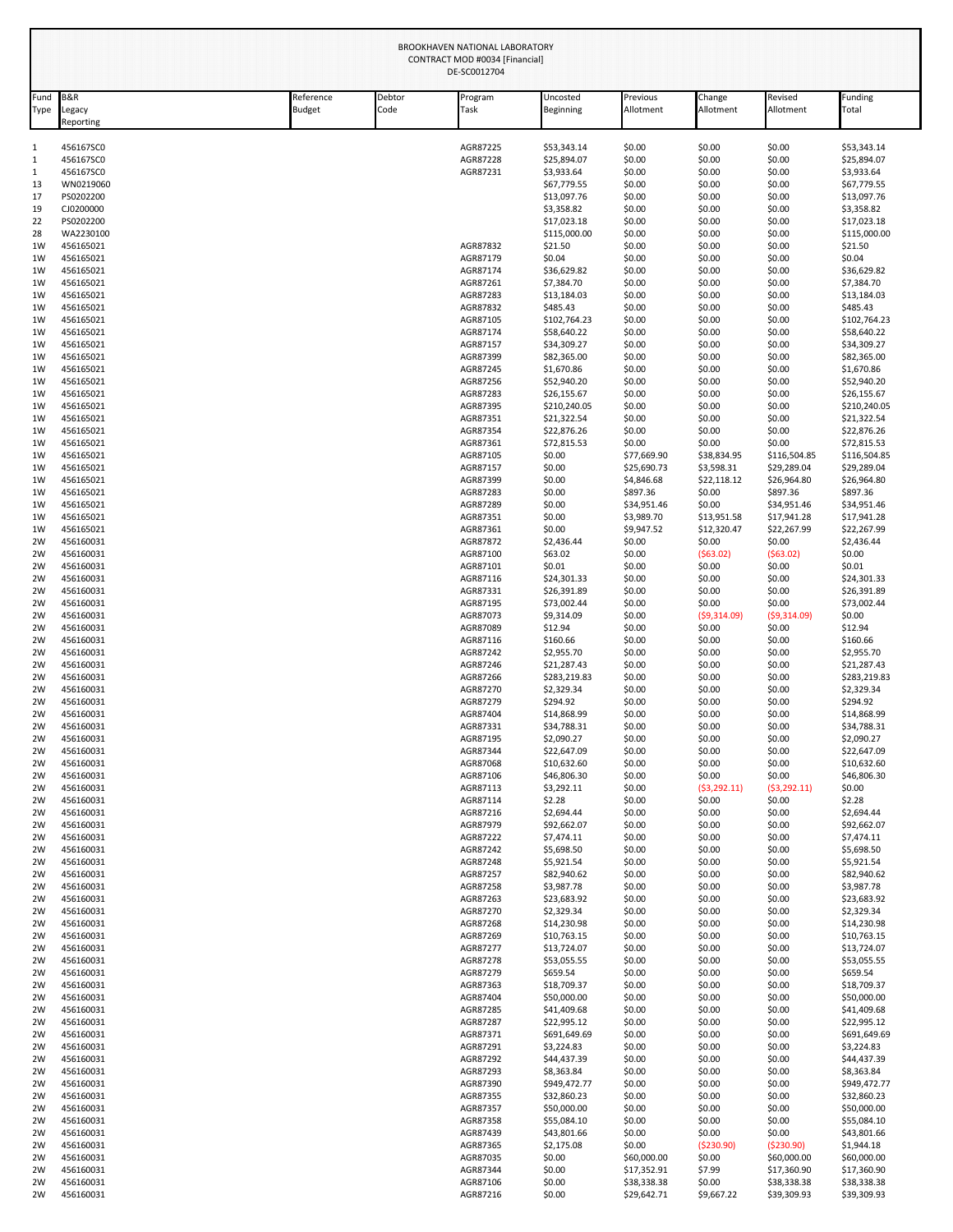|              | BROOKHAVEN NATIONAL LABORATORY<br>CONTRACT MOD #0034 [Financial]<br>DE-SC0012704 |                     |                |                      |                            |                            |                            |                            |                            |
|--------------|----------------------------------------------------------------------------------|---------------------|----------------|----------------------|----------------------------|----------------------------|----------------------------|----------------------------|----------------------------|
| Fund<br>Type | B&R<br>Legacy<br>Reporting                                                       | Reference<br>Budget | Debtor<br>Code | Program<br>Task      | Uncosted<br>Beginning      | Previous<br>Allotment      | Change<br>Allotment        | Revised<br>Allotment       | Funding<br>Total           |
| 1            | 456167SC0                                                                        |                     |                | AGR87225             | \$53,343.14                | \$0.00                     | \$0.00                     | \$0.00                     | \$53,343.14                |
| $\mathbf{1}$ | 456167SC0                                                                        |                     |                | AGR87228             | \$25,894.07                | \$0.00                     | \$0.00                     | \$0.00                     | \$25,894.07                |
| 1            | 456167SC0                                                                        |                     |                | AGR87231             | \$3,933.64                 | \$0.00                     | \$0.00                     | \$0.00                     | \$3,933.64                 |
| 13           | WN0219060                                                                        |                     |                |                      | \$67,779.55                | \$0.00                     | \$0.00                     | \$0.00                     | \$67,779.55                |
| 17           | PS0202200<br>CJ0200000                                                           |                     |                |                      | \$13,097.76                | \$0.00                     | \$0.00                     | \$0.00                     | \$13,097.76                |
| 19<br>22     | PS0202200                                                                        |                     |                |                      | \$3,358.82<br>\$17,023.18  | \$0.00<br>\$0.00           | \$0.00<br>\$0.00           | \$0.00<br>\$0.00           | \$3,358.82<br>\$17,023.18  |
| 28           | WA2230100                                                                        |                     |                |                      | \$115,000.00               | \$0.00                     | \$0.00                     | \$0.00                     | \$115,000.00               |
| 1W           | 456165021                                                                        |                     |                | AGR87832             | \$21.50                    | \$0.00                     | \$0.00                     | \$0.00                     | \$21.50                    |
| 1W           | 456165021                                                                        |                     |                | AGR87179             | \$0.04                     | \$0.00                     | \$0.00                     | \$0.00                     | \$0.04                     |
| 1W           | 456165021                                                                        |                     |                | AGR87174             | \$36,629.82                | \$0.00                     | \$0.00                     | \$0.00                     | \$36,629.82                |
| 1W           | 456165021                                                                        |                     |                | AGR87261             | \$7,384.70                 | \$0.00                     | \$0.00                     | \$0.00                     | \$7,384.70                 |
| 1W           | 456165021                                                                        |                     |                | AGR87283             | \$13,184.03                | \$0.00                     | \$0.00                     | \$0.00                     | \$13,184.03                |
| 1W           | 456165021                                                                        |                     |                | AGR87832             | \$485.43                   | \$0.00                     | \$0.00                     | \$0.00                     | \$485.43                   |
| 1W           | 456165021                                                                        |                     |                | AGR87105             | \$102,764.23               | \$0.00                     | \$0.00                     | \$0.00                     | \$102,764.23               |
| 1W           | 456165021                                                                        |                     |                | AGR87174             | \$58,640.22                | \$0.00                     | \$0.00                     | \$0.00                     | \$58,640.22                |
| 1W           | 456165021                                                                        |                     |                | AGR87157             | \$34,309.27                | \$0.00                     | \$0.00                     | \$0.00                     | \$34,309.27                |
| 1W           | 456165021                                                                        |                     |                | AGR87399             | \$82,365.00<br>\$1,670.86  | \$0.00                     | \$0.00                     | \$0.00                     | \$82,365.00<br>\$1,670.86  |
| 1W<br>1W     | 456165021<br>456165021                                                           |                     |                | AGR87245<br>AGR87256 | \$52,940.20                | \$0.00<br>\$0.00           | \$0.00<br>\$0.00           | \$0.00<br>\$0.00           | \$52,940.20                |
| 1W           | 456165021                                                                        |                     |                | AGR87283             | \$26,155.67                | \$0.00                     | \$0.00                     | \$0.00                     | \$26,155.67                |
| 1W           | 456165021                                                                        |                     |                | AGR87395             | \$210,240.05               | \$0.00                     | \$0.00                     | \$0.00                     | \$210,240.05               |
| 1W           | 456165021                                                                        |                     |                | AGR87351             | \$21,322.54                | \$0.00                     | \$0.00                     | \$0.00                     | \$21,322.54                |
| 1W           | 456165021                                                                        |                     |                | AGR87354             | \$22,876.26                | \$0.00                     | \$0.00                     | \$0.00                     | \$22,876.26                |
| 1W           | 456165021                                                                        |                     |                | AGR87361             | \$72,815.53                | \$0.00                     | \$0.00                     | \$0.00                     | \$72,815.53                |
| 1W           | 456165021                                                                        |                     |                | AGR87105             | \$0.00                     | \$77,669.90                | \$38,834.95                | \$116,504.85               | \$116,504.85               |
| 1W           | 456165021                                                                        |                     |                | AGR87157             | \$0.00                     | \$25,690.73                | \$3,598.31                 | \$29,289.04                | \$29,289.04                |
| 1W           | 456165021                                                                        |                     |                | AGR87399             | \$0.00                     | \$4,846.68                 | \$22,118.12                | \$26,964.80                | \$26,964.80                |
| 1W           | 456165021                                                                        |                     |                | AGR87283             | \$0.00                     | \$897.36                   | \$0.00                     | \$897.36                   | \$897.36                   |
| 1W           | 456165021                                                                        |                     |                | AGR87289             | \$0.00                     | \$34,951.46                | \$0.00                     | \$34,951.46                | \$34,951.46                |
| 1W           | 456165021<br>456165021                                                           |                     |                | AGR87351             | \$0.00<br>\$0.00           | \$3,989.70<br>\$9,947.52   | \$13,951.58<br>\$12,320.47 | \$17,941.28<br>\$22,267.99 | \$17,941.28                |
| 1W<br>2W     | 456160031                                                                        |                     |                | AGR87361<br>AGR87872 | \$2,436.44                 | \$0.00                     | \$0.00                     | \$0.00                     | \$22,267.99<br>\$2,436.44  |
| 2W           | 456160031                                                                        |                     |                | AGR87100             | \$63.02                    | \$0.00                     | (563.02)                   | (563.02)                   | \$0.00                     |
| 2W           | 456160031                                                                        |                     |                | AGR87101             | \$0.01                     | \$0.00                     | \$0.00                     | \$0.00                     | \$0.01                     |
| 2W           | 456160031                                                                        |                     |                | AGR87116             | \$24,301.33                | \$0.00                     | \$0.00                     | \$0.00                     | \$24,301.33                |
| 2W           | 456160031                                                                        |                     |                | AGR87331             | \$26,391.89                | \$0.00                     | \$0.00                     | \$0.00                     | \$26,391.89                |
| 2W           | 456160031                                                                        |                     |                | AGR87195             | \$73,002.44                | \$0.00                     | \$0.00                     | \$0.00                     | \$73,002.44                |
| 2W           | 456160031                                                                        |                     |                | AGR87073             | \$9,314.09                 | \$0.00                     | (59,314.09)                | (59,314.09)                | \$0.00                     |
| 2W           | 456160031                                                                        |                     |                | AGR87089             | \$12.94                    | \$0.00                     | \$0.00                     | \$0.00                     | \$12.94                    |
| 2W           | 456160031                                                                        |                     |                | AGR87116             | \$160.66                   | \$0.00                     | \$0.00                     | \$0.00                     | \$160.66                   |
| 2W           | 456160031                                                                        |                     |                | AGR87242             | \$2,955.70                 | \$0.00                     | \$0.00                     | \$0.00                     | \$2,955.70                 |
| 2W           | 456160031                                                                        |                     |                | AGR87246             | \$21,287.43                | \$0.00                     | \$0.00                     | \$0.00                     | \$21,287.43                |
| 2W           | 456160031                                                                        |                     |                | AGR87266             | \$283,219.83               | \$0.00                     | \$0.00                     | \$0.00                     | \$283,219.83               |
| 2W<br>2W     | 456160031<br>456160031                                                           |                     |                | AGR87270<br>AGR87279 | \$2,329.34<br>\$294.92     | \$0.00<br>\$0.00           | \$0.00<br>\$0.00           | \$0.00<br>\$0.00           | \$2,329.34<br>\$294.92     |
| 2W           | 456160031                                                                        |                     |                | AGR87404             | \$14,868.99                | \$0.00                     | \$0.00                     | \$0.00                     | \$14,868.99                |
| 2W           | 456160031                                                                        |                     |                | AGR87331             | \$34,788.31                | \$0.00                     | \$0.00                     | \$0.00                     | \$34,788.31                |
| 2W           | 456160031                                                                        |                     |                | AGR87195             | \$2,090.27                 | \$0.00                     | \$0.00                     | \$0.00                     | \$2,090.27                 |
| 2W           | 456160031                                                                        |                     |                | AGR87344             | \$22,647.09                | \$0.00                     | \$0.00                     | \$0.00                     | \$22,647.09                |
| 2W           | 456160031                                                                        |                     |                | AGR87068             | \$10,632.60                | \$0.00                     | \$0.00                     | \$0.00                     | \$10,632.60                |
| 2W           | 456160031                                                                        |                     |                | AGR87106             | \$46,806.30                | \$0.00                     | \$0.00                     | \$0.00                     | \$46,806.30                |
| 2W           | 456160031                                                                        |                     |                | AGR87113             | \$3,292.11                 | \$0.00                     | (53, 292.11)               | (53, 292.11)               | \$0.00                     |
| 2W           | 456160031                                                                        |                     |                | AGR87114             | \$2.28                     | \$0.00                     | \$0.00                     | \$0.00                     | \$2.28                     |
| 2W           | 456160031                                                                        |                     |                | AGR87216             | \$2,694.44                 | \$0.00                     | \$0.00                     | \$0.00                     | \$2,694.44                 |
| 2W           | 456160031                                                                        |                     |                | AGR87979             | \$92,662.07                | \$0.00                     | \$0.00                     | \$0.00                     | \$92,662.07                |
| 2W<br>2W     | 456160031<br>456160031                                                           |                     |                | AGR87222<br>AGR87242 | \$7,474.11<br>\$5,698.50   | \$0.00<br>\$0.00           | \$0.00<br>\$0.00           | \$0.00<br>\$0.00           | \$7,474.11<br>\$5,698.50   |
| 2W           | 456160031                                                                        |                     |                | AGR87248             | \$5,921.54                 | \$0.00                     | \$0.00                     | \$0.00                     | \$5,921.54                 |
| 2W           | 456160031                                                                        |                     |                | AGR87257             | \$82,940.62                | \$0.00                     | \$0.00                     | \$0.00                     | \$82,940.62                |
| 2W           | 456160031                                                                        |                     |                | AGR87258             | \$3,987.78                 | \$0.00                     | \$0.00                     | \$0.00                     | \$3,987.78                 |
| 2W           | 456160031                                                                        |                     |                | AGR87263             | \$23,683.92                | \$0.00                     | \$0.00                     | \$0.00                     | \$23,683.92                |
| 2W           | 456160031                                                                        |                     |                | AGR87270             | \$2,329.34                 | \$0.00                     | \$0.00                     | \$0.00                     | \$2,329.34                 |
| 2W           | 456160031                                                                        |                     |                | AGR87268             | \$14,230.98                | \$0.00                     | \$0.00                     | \$0.00                     | \$14,230.98                |
| 2W           | 456160031                                                                        |                     |                | AGR87269             | \$10,763.15                | \$0.00                     | \$0.00                     | \$0.00                     | \$10,763.15                |
| 2W           | 456160031                                                                        |                     |                | AGR87277             | \$13,724.07                | \$0.00                     | \$0.00                     | \$0.00                     | \$13,724.07                |
| 2W           | 456160031                                                                        |                     |                | AGR87278             | \$53,055.55                | \$0.00                     | \$0.00                     | \$0.00                     | \$53,055.55                |
| 2W           | 456160031                                                                        |                     |                | AGR87279             | \$659.54                   | \$0.00                     | \$0.00                     | \$0.00                     | \$659.54                   |
| 2W<br>2W     | 456160031<br>456160031                                                           |                     |                | AGR87363<br>AGR87404 | \$18,709.37<br>\$50,000.00 | \$0.00<br>\$0.00           | \$0.00<br>\$0.00           | \$0.00<br>\$0.00           | \$18,709.37<br>\$50,000.00 |
| 2W           | 456160031                                                                        |                     |                | AGR87285             | \$41,409.68                | \$0.00                     | \$0.00                     | \$0.00                     | \$41,409.68                |
| 2W           | 456160031                                                                        |                     |                | AGR87287             | \$22,995.12                | \$0.00                     | \$0.00                     | \$0.00                     | \$22,995.12                |
| 2W           | 456160031                                                                        |                     |                | AGR87371             | \$691,649.69               | \$0.00                     | \$0.00                     | \$0.00                     | \$691,649.69               |
| 2W           | 456160031                                                                        |                     |                | AGR87291             | \$3,224.83                 | \$0.00                     | \$0.00                     | \$0.00                     | \$3,224.83                 |
| 2W           | 456160031                                                                        |                     |                | AGR87292             | \$44,437.39                | \$0.00                     | \$0.00                     | \$0.00                     | \$44,437.39                |
| 2W           | 456160031                                                                        |                     |                | AGR87293             | \$8,363.84                 | \$0.00                     | \$0.00                     | \$0.00                     | \$8,363.84                 |
| 2W           | 456160031                                                                        |                     |                | AGR87390             | \$949,472.77               | \$0.00                     | \$0.00                     | \$0.00                     | \$949,472.77               |
| 2W           | 456160031                                                                        |                     |                | AGR87355             | \$32,860.23                | \$0.00                     | \$0.00                     | \$0.00                     | \$32,860.23                |
| 2W           | 456160031                                                                        |                     |                | AGR87357             | \$50,000.00                | \$0.00                     | \$0.00                     | \$0.00                     | \$50,000.00                |
| 2W           | 456160031                                                                        |                     |                | AGR87358             | \$55,084.10                | \$0.00                     | \$0.00                     | \$0.00                     | \$55,084.10                |
| 2W           | 456160031                                                                        |                     |                | AGR87439             | \$43,801.66                | \$0.00                     | \$0.00                     | \$0.00                     | \$43,801.66                |
| 2W           | 456160031                                                                        |                     |                | AGR87365             | \$2,175.08                 | \$0.00                     | ( \$230.90)                | ( \$230.90)                | \$1,944.18                 |
| 2W           | 456160031                                                                        |                     |                | AGR87035             | \$0.00                     | \$60,000.00                | \$0.00                     | \$60,000.00                | \$60,000.00                |
|              | 456160031                                                                        |                     |                |                      |                            |                            |                            |                            |                            |
| 2W<br>2W     | 456160031                                                                        |                     |                | AGR87344<br>AGR87106 | \$0.00<br>\$0.00           | \$17,352.91<br>\$38,338.38 | \$7.99<br>\$0.00           | \$17,360.90<br>\$38,338.38 | \$17,360.90<br>\$38,338.38 |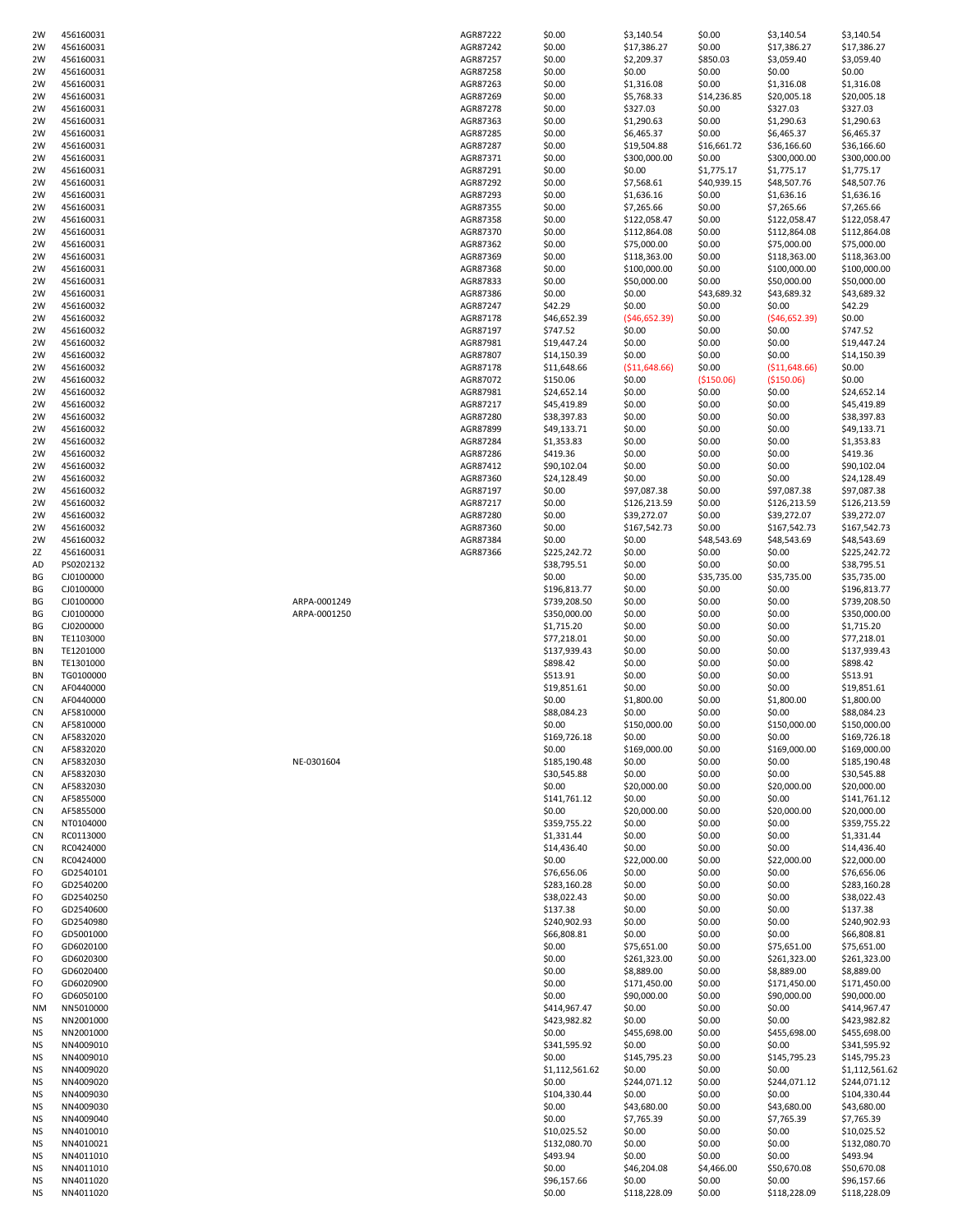| 2W        | 456160031 |              | AGR87222 | \$0.00         | \$3,140.54    | \$0.00      | \$3,140.54     | \$3,140.54     |
|-----------|-----------|--------------|----------|----------------|---------------|-------------|----------------|----------------|
| 2W        | 456160031 |              | AGR87242 | \$0.00         | \$17,386.27   | \$0.00      | \$17,386.27    | \$17,386.27    |
| 2W        | 456160031 |              | AGR87257 | \$0.00         | \$2,209.37    | \$850.03    | \$3,059.40     | \$3,059.40     |
| 2W        | 456160031 |              | AGR87258 | \$0.00         | \$0.00        | \$0.00      | \$0.00         | \$0.00         |
| 2W        | 456160031 |              | AGR87263 | \$0.00         | \$1,316.08    | \$0.00      | \$1,316.08     | \$1,316.08     |
| 2W        | 456160031 |              | AGR87269 | \$0.00         | \$5,768.33    | \$14,236.85 | \$20,005.18    | \$20,005.18    |
| 2W        | 456160031 |              | AGR87278 | \$0.00         | \$327.03      | \$0.00      | \$327.03       | \$327.03       |
|           |           |              |          |                |               |             |                |                |
| 2W        | 456160031 |              | AGR87363 | \$0.00         | \$1,290.63    | \$0.00      | \$1,290.63     | \$1,290.63     |
| 2W        | 456160031 |              | AGR87285 | \$0.00         | \$6,465.37    | \$0.00      | \$6,465.37     | \$6,465.37     |
| 2W        | 456160031 |              | AGR87287 | \$0.00         | \$19,504.88   | \$16,661.72 | \$36,166.60    | \$36,166.60    |
| 2W        | 456160031 |              | AGR87371 | \$0.00         | \$300,000.00  | \$0.00      | \$300,000.00   | \$300,000.00   |
| 2W        | 456160031 |              | AGR87291 | \$0.00         | \$0.00        | \$1,775.17  | \$1,775.17     | \$1,775.17     |
| 2W        | 456160031 |              | AGR87292 | \$0.00         | \$7,568.61    | \$40,939.15 | \$48,507.76    | \$48,507.76    |
|           |           |              |          |                |               |             |                |                |
| 2W        | 456160031 |              | AGR87293 | \$0.00         | \$1,636.16    | \$0.00      | \$1,636.16     | \$1,636.16     |
| 2W        | 456160031 |              | AGR87355 | \$0.00         | \$7,265.66    | \$0.00      | \$7,265.66     | \$7,265.66     |
| 2W        | 456160031 |              | AGR87358 | \$0.00         | \$122,058.47  | \$0.00      | \$122,058.47   | \$122,058.47   |
| 2W        | 456160031 |              | AGR87370 | \$0.00         | \$112,864.08  | \$0.00      | \$112,864.08   | \$112,864.08   |
| 2W        | 456160031 |              | AGR87362 | \$0.00         | \$75,000.00   | \$0.00      | \$75,000.00    | \$75,000.00    |
| 2W        | 456160031 |              | AGR87369 | \$0.00         | \$118,363.00  | \$0.00      | \$118,363.00   | \$118,363.00   |
| 2W        | 456160031 |              | AGR87368 | \$0.00         | \$100,000.00  | \$0.00      | \$100,000.00   | \$100,000.00   |
|           |           |              |          |                |               |             |                |                |
| 2W        | 456160031 |              | AGR87833 | \$0.00         | \$50,000.00   | \$0.00      | \$50,000.00    | \$50,000.00    |
| 2W        | 456160031 |              | AGR87386 | \$0.00         | \$0.00        | \$43,689.32 | \$43,689.32    | \$43,689.32    |
| 2W        | 456160032 |              | AGR87247 | \$42.29        | \$0.00        | \$0.00      | \$0.00         | \$42.29        |
| 2W        | 456160032 |              | AGR87178 | \$46,652.39    | (\$46,652.39) | \$0.00      | ( \$46,652.39) | \$0.00         |
| 2W        | 456160032 |              | AGR87197 | \$747.52       | \$0.00        | \$0.00      | \$0.00         | \$747.52       |
| 2W        | 456160032 |              | AGR87981 | \$19,447.24    | \$0.00        | \$0.00      | \$0.00         | \$19,447.24    |
| 2W        | 456160032 |              | AGR87807 | \$14,150.39    | \$0.00        | \$0.00      | \$0.00         | \$14,150.39    |
|           |           |              |          | \$11,648.66    |               |             |                |                |
| 2W        | 456160032 |              | AGR87178 |                | (\$11,648.66) | \$0.00      | ( \$11,648.66) | \$0.00         |
| 2W        | 456160032 |              | AGR87072 | \$150.06       | \$0.00        | ( \$150.06) | ( \$150.06)    | \$0.00         |
| 2W        | 456160032 |              | AGR87981 | \$24,652.14    | \$0.00        | \$0.00      | \$0.00         | \$24,652.14    |
| 2W        | 456160032 |              | AGR87217 | \$45,419.89    | \$0.00        | \$0.00      | \$0.00         | \$45,419.89    |
| 2W        | 456160032 |              | AGR87280 | \$38,397.83    | \$0.00        | \$0.00      | \$0.00         | \$38,397.83    |
| 2W        | 456160032 |              | AGR87899 | \$49,133.71    | \$0.00        | \$0.00      | \$0.00         | \$49,133.71    |
| 2W        | 456160032 |              | AGR87284 | \$1,353.83     | \$0.00        | \$0.00      | \$0.00         | \$1,353.83     |
|           |           |              |          |                |               |             |                |                |
| 2W        | 456160032 |              | AGR87286 | \$419.36       | \$0.00        | \$0.00      | \$0.00         | \$419.36       |
| 2W        | 456160032 |              | AGR87412 | \$90,102.04    | \$0.00        | \$0.00      | \$0.00         | \$90,102.04    |
| 2W        | 456160032 |              | AGR87360 | \$24,128.49    | \$0.00        | \$0.00      | \$0.00         | \$24,128.49    |
| 2W        | 456160032 |              | AGR87197 | \$0.00         | \$97,087.38   | \$0.00      | \$97,087.38    | \$97,087.38    |
| 2W        | 456160032 |              | AGR87217 | \$0.00         | \$126,213.59  | \$0.00      | \$126,213.59   | \$126,213.59   |
| 2W        | 456160032 |              | AGR87280 | \$0.00         | \$39,272.07   | \$0.00      | \$39,272.07    | \$39,272.07    |
| 2W        | 456160032 |              | AGR87360 | \$0.00         | \$167,542.73  | \$0.00      | \$167,542.73   | \$167,542.73   |
|           |           |              |          |                |               |             |                |                |
| 2W        | 456160032 |              | AGR87384 | \$0.00         | \$0.00        | \$48,543.69 | \$48,543.69    | \$48,543.69    |
| 2Z        | 456160031 |              | AGR87366 | \$225,242.72   | \$0.00        | \$0.00      | \$0.00         | \$225,242.72   |
| AD        | PS0202132 |              |          | \$38,795.51    | \$0.00        | \$0.00      | \$0.00         | \$38,795.51    |
| ВG        | CJ0100000 |              |          | \$0.00         | \$0.00        | \$35,735.00 | \$35,735.00    | \$35,735.00    |
| BG        | CJ0100000 |              |          | \$196,813.77   | \$0.00        | \$0.00      | \$0.00         | \$196,813.77   |
| BG        | CJ0100000 | ARPA-0001249 |          | \$739,208.50   | \$0.00        | \$0.00      | \$0.00         | \$739,208.50   |
| ΒG        | CJ0100000 | ARPA-0001250 |          | \$350,000.00   | \$0.00        | \$0.00      | \$0.00         | \$350,000.00   |
|           |           |              |          |                |               |             |                |                |
| BG        | CJ0200000 |              |          | \$1,715.20     | \$0.00        | \$0.00      | \$0.00         | \$1,715.20     |
| BN        | TE1103000 |              |          | \$77,218.01    | \$0.00        | \$0.00      | \$0.00         | \$77,218.01    |
| BN        | TE1201000 |              |          | \$137,939.43   | \$0.00        | \$0.00      | \$0.00         | \$137,939.43   |
| BN        | TE1301000 |              |          | \$898.42       | \$0.00        | \$0.00      | \$0.00         | \$898.42       |
| BN        | TG0100000 |              |          | \$513.91       | \$0.00        | \$0.00      | \$0.00         | \$513.91       |
| CN        | AF0440000 |              |          | \$19,851.61    | \$0.00        | \$0.00      | \$0.00         | \$19,851.61    |
|           |           |              |          |                |               |             |                |                |
| <b>CN</b> | AF0440000 |              |          | \$0.00         | \$1,800.00    | \$0.00      | \$1,800.00     | \$1,800.00     |
| CN        | AF5810000 |              |          | \$88,084.23    | \$0.00        | \$0.00      | \$0.00         | \$88,084.23    |
| CN        | AF5810000 |              |          | \$0.00         | \$150,000.00  | \$0.00      | \$150,000.00   | \$150,000.00   |
| CN        | AF5832020 |              |          | \$169,726.18   | \$0.00        | \$0.00      | \$0.00         | \$169,726.18   |
| CN        | AF5832020 |              |          | \$0.00         | \$169,000.00  | \$0.00      | \$169,000.00   | \$169,000.00   |
| CN        | AF5832030 | NE-0301604   |          | \$185,190.48   | \$0.00        | \$0.00      | \$0.00         | \$185,190.48   |
| CN        | AF5832030 |              |          | \$30,545.88    | \$0.00        | \$0.00      | \$0.00         | \$30,545.88    |
| CN        | AF5832030 |              |          | \$0.00         | \$20,000.00   | \$0.00      | \$20,000.00    | \$20,000.00    |
|           |           |              |          |                |               |             |                |                |
| CN        | AF5855000 |              |          | \$141,761.12   | \$0.00        | \$0.00      | \$0.00         | \$141,761.12   |
| CN        | AF5855000 |              |          | \$0.00         | \$20,000.00   | \$0.00      | \$20,000.00    | \$20,000.00    |
| CN        | NT0104000 |              |          | \$359,755.22   | \$0.00        | \$0.00      | \$0.00         | \$359,755.22   |
| CN        | RC0113000 |              |          | \$1,331.44     | \$0.00        | \$0.00      | \$0.00         | \$1,331.44     |
| CN        | RC0424000 |              |          | \$14,436.40    | \$0.00        | \$0.00      | \$0.00         | \$14,436.40    |
| CN        | RC0424000 |              |          | \$0.00         | \$22,000.00   | \$0.00      | \$22,000.00    | \$22,000.00    |
| FO        | GD2540101 |              |          | \$76,656.06    | \$0.00        | \$0.00      | \$0.00         | \$76,656.06    |
| FO        | GD2540200 |              |          | \$283,160.28   | \$0.00        | \$0.00      | \$0.00         | \$283,160.28   |
| FO        | GD2540250 |              |          | \$38,022.43    | \$0.00        | \$0.00      | \$0.00         | \$38,022.43    |
|           |           |              |          |                |               |             |                |                |
| FO        | GD2540600 |              |          | \$137.38       | \$0.00        | \$0.00      | \$0.00         | \$137.38       |
| FO        | GD2540980 |              |          | \$240,902.93   | \$0.00        | \$0.00      | \$0.00         | \$240,902.93   |
| FO        | GD5001000 |              |          | \$66,808.81    | \$0.00        | \$0.00      | \$0.00         | \$66,808.81    |
| FO        | GD6020100 |              |          | \$0.00         | \$75,651.00   | \$0.00      | \$75,651.00    | \$75,651.00    |
| FO        | GD6020300 |              |          | \$0.00         | \$261,323.00  | \$0.00      | \$261,323.00   | \$261,323.00   |
| FO        | GD6020400 |              |          | \$0.00         | \$8,889.00    | \$0.00      | \$8,889.00     | \$8,889.00     |
| FO        | GD6020900 |              |          | \$0.00         | \$171,450.00  | \$0.00      | \$171,450.00   | \$171,450.00   |
| FO        | GD6050100 |              |          | \$0.00         | \$90,000.00   | \$0.00      | \$90,000.00    | \$90,000.00    |
|           |           |              |          |                |               |             |                |                |
| NM        | NN5010000 |              |          | \$414,967.47   | \$0.00        | \$0.00      | \$0.00         | \$414,967.47   |
| NS        | NN2001000 |              |          | \$423,982.82   | \$0.00        | \$0.00      | \$0.00         | \$423,982.82   |
| NS        | NN2001000 |              |          | \$0.00         | \$455,698.00  | \$0.00      | \$455,698.00   | \$455,698.00   |
| NS        | NN4009010 |              |          | \$341,595.92   | \$0.00        | \$0.00      | \$0.00         | \$341,595.92   |
| NS        | NN4009010 |              |          | \$0.00         | \$145,795.23  | \$0.00      | \$145,795.23   | \$145,795.23   |
| NS        | NN4009020 |              |          | \$1,112,561.62 | \$0.00        | \$0.00      | \$0.00         | \$1,112,561.62 |
|           |           |              |          |                | \$244,071.12  | \$0.00      |                | \$244,071.12   |
| NS        | NN4009020 |              |          | \$0.00         |               |             | \$244,071.12   |                |
| NS        | NN4009030 |              |          | \$104,330.44   | \$0.00        | \$0.00      | \$0.00         | \$104,330.44   |
| NS        | NN4009030 |              |          | \$0.00         | \$43,680.00   | \$0.00      | \$43,680.00    | \$43,680.00    |
| NS        | NN4009040 |              |          | \$0.00         | \$7,765.39    | \$0.00      | \$7,765.39     | \$7,765.39     |
| NS        | NN4010010 |              |          | \$10,025.52    | \$0.00        | \$0.00      | \$0.00         | \$10,025.52    |
| NS        | NN4010021 |              |          | \$132,080.70   | \$0.00        | \$0.00      | \$0.00         | \$132,080.70   |
| NS        | NN4011010 |              |          | \$493.94       | \$0.00        | \$0.00      | \$0.00         | \$493.94       |
| NS        | NN4011010 |              |          | \$0.00         | \$46,204.08   | \$4,466.00  | \$50,670.08    | \$50,670.08    |
|           |           |              |          |                |               |             |                |                |
| NS        | NN4011020 |              |          | \$96,157.66    | \$0.00        | \$0.00      | \$0.00         | \$96,157.66    |
| ΝS        | NN4011020 |              |          | \$0.00         | \$118,228.09  | \$0.00      | \$118,228.09   | \$118,228.09   |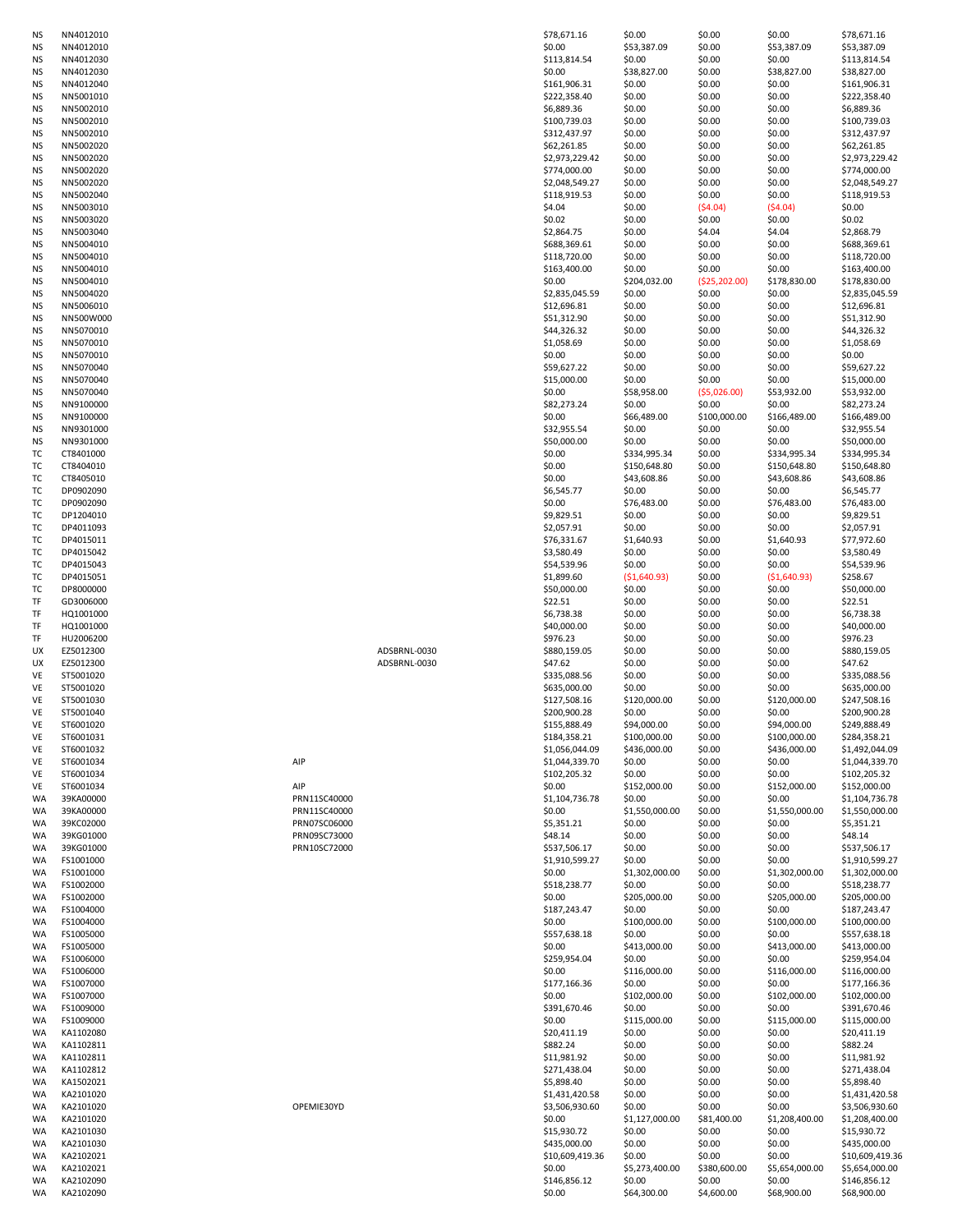| ΝS       | NN4012010              |              |              | \$78,671.16                     | \$0.00                   | \$0.00                 | \$0.00                   | \$78,671.16                     |
|----------|------------------------|--------------|--------------|---------------------------------|--------------------------|------------------------|--------------------------|---------------------------------|
| ΝS       | NN4012010              |              |              | \$0.00                          | \$53,387.09              | \$0.00                 | \$53,387.09              | \$53,387.09                     |
| ΝS       | NN4012030              |              |              | \$113,814.54                    | \$0.00                   | \$0.00                 | \$0.00                   | \$113,814.54                    |
| ΝS       | NN4012030              |              |              | \$0.00                          | \$38,827.00              | \$0.00                 | \$38,827.00              | \$38,827.00                     |
| ΝS       | NN4012040              |              |              | \$161,906.31                    | \$0.00                   | \$0.00                 | \$0.00                   | \$161,906.31                    |
| ΝS       | NN5001010              |              |              | \$222,358.40                    | \$0.00                   | \$0.00                 | \$0.00                   | \$222,358.40                    |
| ΝS       | NN5002010              |              |              | \$6,889.36                      | \$0.00                   | \$0.00                 | \$0.00                   | \$6,889.36                      |
| ΝS       | NN5002010              |              |              | \$100,739.03                    | \$0.00                   | \$0.00                 | \$0.00                   | \$100,739.03                    |
| ΝS       | NN5002010              |              |              | \$312,437.97                    | \$0.00                   | \$0.00                 | \$0.00                   | \$312,437.97                    |
| ΝS       | NN5002020              |              |              | \$62,261.85                     | \$0.00                   | \$0.00                 | \$0.00                   | \$62,261.85                     |
| ΝS       | NN5002020              |              |              | \$2,973,229.42                  | \$0.00                   | \$0.00                 | \$0.00                   | \$2,973,229.42                  |
| ΝS       | NN5002020              |              |              | \$774,000.00                    | \$0.00                   | \$0.00                 | \$0.00                   | \$774,000.00                    |
| ΝS       | NN5002020              |              |              | \$2,048,549.27                  | \$0.00                   | \$0.00                 | \$0.00                   | \$2,048,549.27                  |
| ΝS       | NN5002040              |              |              | \$118,919.53                    | \$0.00                   | \$0.00                 | \$0.00                   | \$118,919.53                    |
| ΝS       | NN5003010              |              |              | \$4.04                          | \$0.00                   | (54.04)                | (54.04)                  | \$0.00                          |
| ΝS       | NN5003020              |              |              | \$0.02                          | \$0.00                   | \$0.00                 | \$0.00                   | \$0.02                          |
| ΝS       | NN5003040              |              |              | \$2,864.75                      | \$0.00                   | \$4.04                 | \$4.04                   | \$2,868.79                      |
| ΝS       | NN5004010              |              |              | \$688,369.61                    | \$0.00                   | \$0.00                 | \$0.00                   | \$688,369.61                    |
| ΝS       | NN5004010              |              |              | \$118,720.00                    | \$0.00                   | \$0.00                 | \$0.00                   | \$118,720.00                    |
| ΝS       | NN5004010              |              |              | \$163,400.00                    | \$0.00                   | \$0.00                 | \$0.00                   | \$163,400.00                    |
| ΝS       | NN5004010              |              |              | \$0.00                          | \$204,032.00             | (\$25,202.00)          | \$178,830.00             | \$178,830.00                    |
| ΝS       | NN5004020              |              |              | \$2,835,045.59                  | \$0.00                   | \$0.00                 | \$0.00                   | \$2,835,045.59                  |
| ΝS       | NN5006010              |              |              | \$12,696.81                     | \$0.00                   | \$0.00                 | \$0.00                   | \$12,696.81                     |
| ΝS       | NN500W000              |              |              | \$51,312.90                     | \$0.00                   | \$0.00                 | \$0.00                   | \$51,312.90                     |
| ΝS       | NN5070010              |              |              | \$44,326.32                     | \$0.00                   | \$0.00                 | \$0.00                   | \$44,326.32                     |
| ΝS       | NN5070010              |              |              | \$1,058.69                      | \$0.00                   | \$0.00                 | \$0.00                   | \$1,058.69                      |
| ΝS       | NN5070010              |              |              | \$0.00                          | \$0.00                   | \$0.00                 | \$0.00                   | \$0.00                          |
| ΝS       | NN5070040              |              |              | \$59,627.22                     | \$0.00                   | \$0.00                 | \$0.00                   | \$59,627.22                     |
| ΝS       | NN5070040              |              |              | \$15,000.00                     | \$0.00                   | \$0.00                 | \$0.00                   | \$15,000.00                     |
| ΝS       | NN5070040              |              |              | \$0.00                          | \$58,958.00              | ( \$5,026.00)          | \$53,932.00              | \$53,932.00                     |
| ΝS       | NN9100000              |              |              | \$82,273.24                     | \$0.00                   | \$0.00                 | \$0.00                   | \$82,273.24                     |
| ΝS       | NN9100000              |              |              | \$0.00                          | \$66,489.00              | \$100,000.00           | \$166,489.00             | \$166,489.00                    |
| ΝS       | NN9301000              |              |              | \$32,955.54                     | \$0.00                   | \$0.00                 | \$0.00                   | \$32,955.54                     |
| ΝS       | NN9301000              |              |              | \$50,000.00                     | \$0.00                   | \$0.00                 | \$0.00                   | \$50,000.00                     |
| тc       | CT8401000              |              |              | \$0.00                          | \$334,995.34             | \$0.00                 | \$334,995.34             | \$334,995.34                    |
| ТC       | CT8404010              |              |              | \$0.00                          | \$150,648.80             | \$0.00                 | \$150,648.80             | \$150,648.80                    |
| ТC       | CT8405010              |              |              | \$0.00                          | \$43,608.86              | \$0.00                 | \$43,608.86              | \$43,608.86                     |
| ТC       | DP0902090              |              |              | \$6,545.77                      | \$0.00                   | \$0.00                 | \$0.00                   | \$6,545.77                      |
| ТC       | DP0902090              |              |              | \$0.00                          | \$76,483.00              | \$0.00                 | \$76,483.00              | \$76,483.00                     |
| ТC       | DP1204010              |              |              | \$9,829.51                      | \$0.00                   | \$0.00                 | \$0.00                   | \$9,829.51                      |
| ТC       | DP4011093              |              |              | \$2,057.91                      | \$0.00                   | \$0.00                 | \$0.00                   | \$2,057.91                      |
| ТC       | DP4015011              |              |              | \$76,331.67                     | \$1,640.93               | \$0.00                 | \$1,640.93               | \$77,972.60                     |
| тс       | DP4015042              |              |              | \$3,580.49                      | \$0.00                   | \$0.00                 | \$0.00                   | \$3,580.49                      |
| ТC       | DP4015043              |              |              | \$54,539.96                     | \$0.00                   | \$0.00                 | \$0.00                   | \$54,539.96                     |
| ТC       | DP4015051              |              |              | \$1,899.60                      | (51,640.93)              | \$0.00                 | (51,640.93)              | \$258.67                        |
| тс       | DP8000000              |              |              | \$50,000.00                     | \$0.00                   | \$0.00                 | \$0.00                   | \$50,000.00                     |
| TF       | GD3006000              |              |              | \$22.51                         | \$0.00                   | \$0.00                 | \$0.00                   | \$22.51                         |
| TF       | HQ1001000              |              |              | \$6,738.38                      | \$0.00                   | \$0.00                 | \$0.00                   | \$6,738.38                      |
| TF       | HQ1001000              |              |              | \$40,000.00                     | \$0.00                   | \$0.00                 | \$0.00                   | \$40,000.00                     |
| TF       | HU2006200              |              |              | \$976.23                        | \$0.00                   | \$0.00                 | \$0.00                   | \$976.23                        |
| UX       | EZ5012300              |              | ADSBRNL-0030 | \$880,159.05                    | \$0.00                   | \$0.00                 | \$0.00                   | \$880,159.05                    |
| UX       | EZ5012300              |              | ADSBRNL-0030 | \$47.62                         | \$0.00                   | \$0.00                 | \$0.00                   | \$47.62                         |
| VE       | ST5001020              |              |              | \$335,088.56                    | \$0.00                   | \$0.00                 | \$0.00                   | \$335,088.56                    |
| VE       | ST5001020              |              |              | \$635,000.00                    | \$0.00                   | \$0.00                 | \$0.00                   | \$635,000.00                    |
| VE       | ST5001030              |              |              | \$127,508.16                    | \$120,000.00             | \$0.00                 | \$120,000.00             | \$247,508.16                    |
| VE       | ST5001040              |              |              | \$200,900.28                    | \$0.00                   | \$0.00                 | \$0.00                   | \$200,900.28                    |
| VE       | ST6001020              |              |              | \$155,888.49                    | \$94,000.00              | \$0.00                 | \$94,000.00              | \$249,888.49                    |
| VE       | ST6001031              |              |              | \$184,358.21                    | \$100,000.00             | \$0.00                 | \$100,000.00             | \$284,358.21                    |
| VE       | ST6001032              |              |              | \$1,056,044.09                  | \$436,000.00             | \$0.00                 | \$436,000.00             | \$1,492,044.09                  |
| VE       | ST6001034              | AIP          |              | \$1,044,339.70                  | \$0.00                   | \$0.00                 | \$0.00                   | \$1,044,339.70                  |
| VE       | ST6001034              |              |              | \$102,205.32                    | \$0.00                   | \$0.00                 | \$0.00                   | \$102,205.32                    |
| VE       | ST6001034              | AIP          |              | \$0.00                          | \$152,000.00             | \$0.00                 | \$152,000.00             | \$152,000.00                    |
| WA       | 39KA00000              | PRN11SC40000 |              | \$1,104,736.78                  | \$0.00                   | \$0.00                 | \$0.00                   | \$1,104,736.78                  |
| WA       | 39KA00000              | PRN11SC40000 |              | \$0.00                          | \$1,550,000.00           | \$0.00                 | \$1,550,000.00           | \$1,550,000.00                  |
| WA       | 39KC02000              | PRN07SC06000 |              | \$5,351.21                      | \$0.00                   | \$0.00                 | \$0.00                   | \$5,351.21                      |
| WA       | 39KG01000              | PRN09SC73000 |              | \$48.14                         | \$0.00                   | \$0.00                 | \$0.00                   | \$48.14                         |
| WA       | 39KG01000              | PRN10SC72000 |              | \$537,506.17                    | \$0.00                   | \$0.00                 | \$0.00                   | \$537,506.17                    |
| WA       | FS1001000              |              |              | \$1,910,599.27                  | \$0.00                   | \$0.00                 | \$0.00                   | \$1,910,599.27                  |
| WA       | FS1001000              |              |              | \$0.00                          | \$1,302,000.00           | \$0.00                 | \$1,302,000.00           | \$1,302,000.00                  |
| WA       | FS1002000              |              |              | \$518,238.77                    | \$0.00                   | \$0.00                 | \$0.00                   | \$518,238.77                    |
| WA       | FS1002000              |              |              | \$0.00                          | \$205,000.00             | \$0.00                 | \$205,000.00             | \$205,000.00                    |
| WA       | FS1004000              |              |              | \$187,243.47                    | \$0.00                   | \$0.00                 | \$0.00                   | \$187,243.47                    |
| WA       | FS1004000              |              |              | \$0.00                          | \$100,000.00             | \$0.00                 | \$100,000.00             | \$100,000.00                    |
| WA       | FS1005000              |              |              | \$557,638.18                    | \$0.00                   | \$0.00                 | \$0.00                   | \$557,638.18                    |
| WA       | FS1005000              |              |              | \$0.00                          | \$413,000.00             | \$0.00                 | \$413,000.00             | \$413,000.00                    |
| WA       | FS1006000              |              |              | \$259,954.04                    | \$0.00                   | \$0.00                 | \$0.00                   | \$259,954.04                    |
| WA       | FS1006000              |              |              | \$0.00                          | \$116,000.00             | \$0.00                 | \$116,000.00             | \$116,000.00                    |
| WA       | FS1007000              |              |              | \$177,166.36                    | \$0.00                   | \$0.00                 | \$0.00                   | \$177,166.36                    |
| WA       | FS1007000              |              |              | \$0.00                          | \$102,000.00             | \$0.00                 | \$102,000.00             | \$102,000.00                    |
| WA       | FS1009000              |              |              | \$391,670.46                    | \$0.00                   | \$0.00                 | \$0.00                   | \$391,670.46                    |
| WA       | FS1009000              |              |              | \$0.00                          | \$115,000.00             | \$0.00                 | \$115,000.00             | \$115,000.00                    |
| WA       | KA1102080              |              |              | \$20,411.19                     | \$0.00                   | \$0.00                 | \$0.00                   | \$20,411.19                     |
| WA       | KA1102811              |              |              | \$882.24                        | \$0.00                   | \$0.00                 | \$0.00                   | \$882.24                        |
| WA       | KA1102811              |              |              | \$11,981.92                     | \$0.00                   | \$0.00                 | \$0.00                   | \$11,981.92                     |
| WA       | KA1102812              |              |              | \$271,438.04                    | \$0.00                   | \$0.00                 | \$0.00                   | \$271,438.04                    |
| WA       | KA1502021              |              |              | \$5,898.40                      | \$0.00                   | \$0.00                 | \$0.00                   | \$5,898.40                      |
| WA       | KA2101020              |              |              | \$1,431,420.58                  | \$0.00                   | \$0.00                 | \$0.00                   | \$1,431,420.58                  |
| WA       | KA2101020              | OPEMIE30YD   |              | \$3,506,930.60                  | \$0.00                   | \$0.00                 | \$0.00                   | \$3,506,930.60                  |
| WA       | KA2101020              |              |              | \$0.00                          | \$1,127,000.00           | \$81,400.00            | \$1,208,400.00           | \$1,208,400.00                  |
| WA       |                        |              |              | \$15,930.72                     | \$0.00                   | \$0.00                 | \$0.00                   | \$15,930.72                     |
| WA       |                        |              |              |                                 |                          |                        |                          |                                 |
|          | KA2101030              |              |              |                                 |                          |                        |                          |                                 |
| WA       | KA2101030<br>KA2102021 |              |              | \$435,000.00<br>\$10,609,419.36 | \$0.00<br>\$0.00         | \$0.00<br>\$0.00       | \$0.00<br>\$0.00         | \$435,000.00<br>\$10,609,419.36 |
|          |                        |              |              |                                 |                          |                        |                          |                                 |
| WA<br>WA | KA2102021<br>KA2102090 |              |              | \$0.00<br>\$146,856.12          | \$5,273,400.00<br>\$0.00 | \$380,600.00<br>\$0.00 | \$5,654,000.00<br>\$0.00 | \$5,654,000.00<br>\$146,856.12  |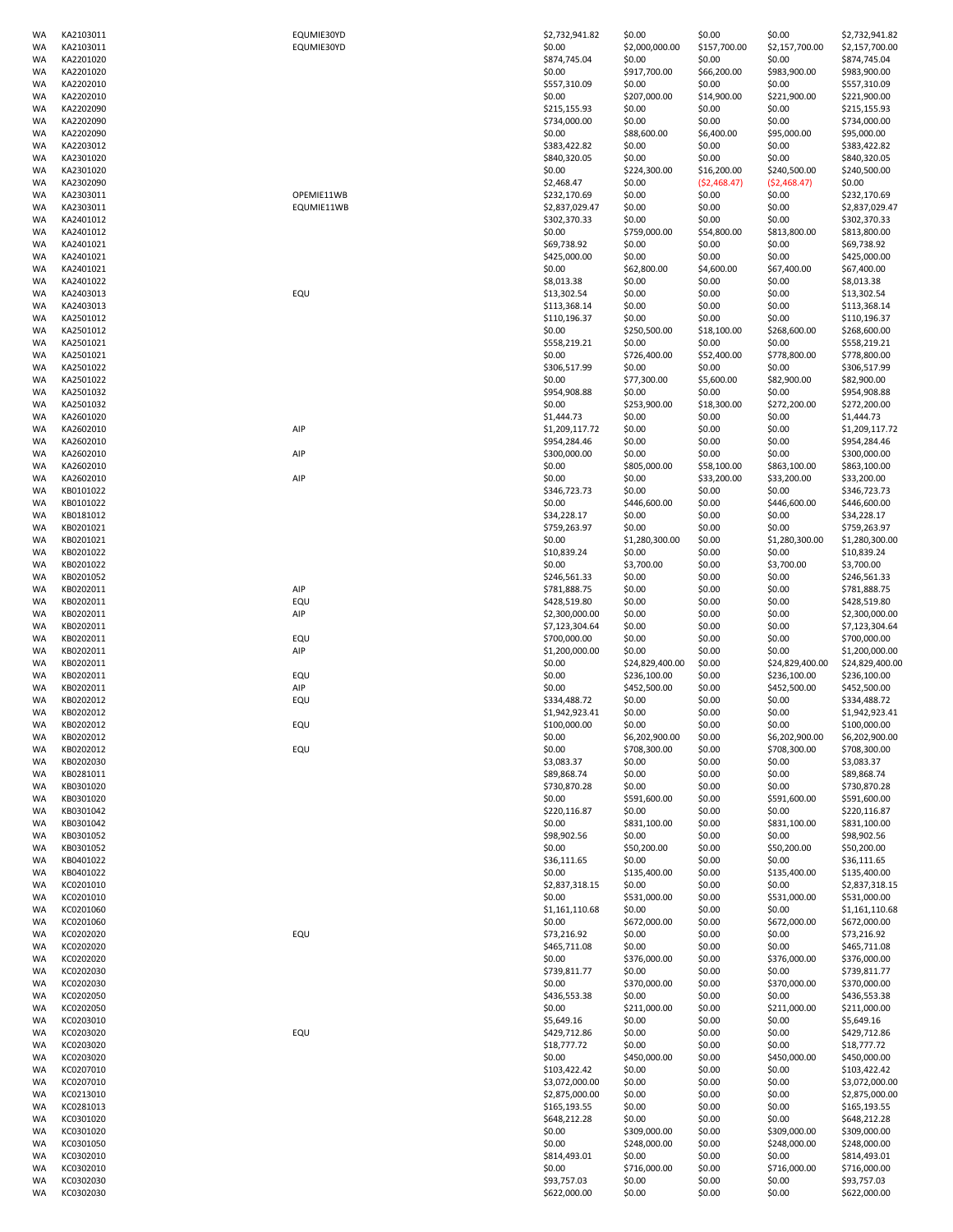| WA       | KA2103011              | EQUMIE30YD | \$2,732,941.82              | \$0.00           | \$0.00           | \$0.00           | \$2,732,941.82              |
|----------|------------------------|------------|-----------------------------|------------------|------------------|------------------|-----------------------------|
| WA       | KA2103011              | EQUMIE30YD | \$0.00                      | \$2,000,000.00   | \$157,700.00     | \$2,157,700.00   | \$2,157,700.00              |
| WA       | KA2201020              |            | \$874,745.04                | \$0.00           | \$0.00           | \$0.00           | \$874,745.04                |
| WA       | KA2201020              |            | \$0.00                      | \$917,700.00     | \$66,200.00      | \$983,900.00     | \$983,900.00                |
| WA       | KA2202010              |            | \$557,310.09                | \$0.00           | \$0.00           | \$0.00           | \$557,310.09                |
| WA       | KA2202010              |            | \$0.00                      | \$207,000.00     | \$14,900.00      | \$221,900.00     | \$221,900.00                |
| WA       | KA2202090              |            | \$215,155.93                | \$0.00           | \$0.00           | \$0.00           | \$215,155.93                |
| WA       | KA2202090              |            | \$734,000.00                | \$0.00           | \$0.00           | \$0.00           |                             |
|          |                        |            |                             |                  |                  |                  | \$734,000.00                |
| WA       | KA2202090              |            | \$0.00                      | \$88,600.00      | \$6,400.00       | \$95,000.00      | \$95,000.00                 |
| WA       | KA2203012              |            | \$383,422.82                | \$0.00           | \$0.00           | \$0.00           | \$383,422.82                |
| WA       | KA2301020              |            | \$840,320.05                | \$0.00           | \$0.00           | \$0.00           | \$840,320.05                |
| WA       | KA2301020              |            | \$0.00                      | \$224,300.00     | \$16,200.00      | \$240,500.00     | \$240,500.00                |
| WA       | KA2302090              |            | \$2,468.47                  | \$0.00           | ( \$2,468.47)    | (52, 468.47)     | \$0.00                      |
| WA       | KA2303011              | OPEMIE11WB | \$232,170.69                | \$0.00           | \$0.00           | \$0.00           | \$232,170.69                |
| WA       | KA2303011              | EQUMIE11WB | \$2,837,029.47              | \$0.00           | \$0.00           | \$0.00           | \$2,837,029.47              |
| WA       | KA2401012              |            | \$302,370.33                | \$0.00           | \$0.00           | \$0.00           | \$302,370.33                |
| WA       | KA2401012              |            | \$0.00                      | \$759,000.00     | \$54,800.00      | \$813,800.00     | \$813,800.00                |
| WA       | KA2401021              |            | \$69,738.92                 | \$0.00           | \$0.00           | \$0.00           | \$69,738.92                 |
| WA       | KA2401021              |            | \$425,000.00                | \$0.00           | \$0.00           | \$0.00           | \$425,000.00                |
| WA       | KA2401021              |            | \$0.00                      | \$62,800.00      | \$4,600.00       | \$67,400.00      | \$67,400.00                 |
|          | KA2401022              |            | \$8,013.38                  | \$0.00           | \$0.00           | \$0.00           | \$8,013.38                  |
| WA       |                        |            |                             |                  |                  |                  |                             |
| WA       | KA2403013              | EQU        | \$13,302.54                 | \$0.00           | \$0.00           | \$0.00           | \$13,302.54                 |
| WA       | KA2403013              |            | \$113,368.14                | \$0.00           | \$0.00           | \$0.00           | \$113,368.14                |
| WA       | KA2501012              |            | \$110,196.37                | \$0.00           | \$0.00           | \$0.00           | \$110,196.37                |
| WA       | KA2501012              |            | \$0.00                      | \$250,500.00     | \$18,100.00      | \$268,600.00     | \$268,600.00                |
| WA       | KA2501021              |            | \$558,219.21                | \$0.00           | \$0.00           | \$0.00           | \$558,219.21                |
| WA       | KA2501021              |            | \$0.00                      | \$726,400.00     | \$52,400.00      | \$778,800.00     | \$778,800.00                |
| WA       | KA2501022              |            | \$306,517.99                | \$0.00           | \$0.00           | \$0.00           | \$306,517.99                |
| WA       | KA2501022              |            | \$0.00                      | \$77,300.00      | \$5,600.00       | \$82,900.00      | \$82,900.00                 |
| WA       | KA2501032              |            | \$954,908.88                | \$0.00           | \$0.00           | \$0.00           | \$954,908.88                |
| WA       | KA2501032              |            | \$0.00                      | \$253,900.00     | \$18,300.00      | \$272,200.00     | \$272,200.00                |
| WA       | KA2601020              |            | \$1,444.73                  | \$0.00           | \$0.00           | \$0.00           | \$1,444.73                  |
| WA       | KA2602010              | AIP        | \$1,209,117.72              | \$0.00           | \$0.00           | \$0.00           | \$1,209,117.72              |
|          |                        |            |                             |                  |                  |                  | \$954,284.46                |
| WA       | KA2602010              |            | \$954,284.46                | \$0.00           | \$0.00           | \$0.00           |                             |
| WA       | KA2602010              | AIP        | \$300,000.00                | \$0.00           | \$0.00           | \$0.00           | \$300,000.00                |
| WA       | KA2602010              |            | \$0.00                      | \$805,000.00     | \$58,100.00      | \$863,100.00     | \$863,100.00                |
| WA       | KA2602010              | AIP        | \$0.00                      | \$0.00           | \$33,200.00      | \$33,200.00      | \$33,200.00                 |
| WA       | KB0101022              |            | \$346,723.73                | \$0.00           | \$0.00           | \$0.00           | \$346,723.73                |
| WA       | KB0101022              |            | \$0.00                      | \$446,600.00     | \$0.00           | \$446,600.00     | \$446,600.00                |
| WA       | KB0181012              |            | \$34,228.17                 | \$0.00           | \$0.00           | \$0.00           | \$34,228.17                 |
| WA       | KB0201021              |            | \$759,263.97                | \$0.00           | \$0.00           | \$0.00           | \$759,263.97                |
| WA       | KB0201021              |            | \$0.00                      | \$1,280,300.00   | \$0.00           | \$1,280,300.00   | \$1,280,300.00              |
| WA       | KB0201022              |            | \$10,839.24                 | \$0.00           | \$0.00           | \$0.00           | \$10,839.24                 |
| WA       | KB0201022              |            | \$0.00                      | \$3,700.00       | \$0.00           | \$3,700.00       | \$3,700.00                  |
| WA       | KB0201052              |            | \$246,561.33                | \$0.00           | \$0.00           | \$0.00           | \$246,561.33                |
| WA       | KB0202011              | AIP        | \$781,888.75                | \$0.00           | \$0.00           | \$0.00           | \$781,888.75                |
| WA       | KB0202011              | EQU        | \$428,519.80                | \$0.00           | \$0.00           | \$0.00           | \$428,519.80                |
|          |                        |            |                             |                  |                  |                  |                             |
| WA       | KB0202011              | AIP        | \$2,300,000.00              | \$0.00           | \$0.00           | \$0.00           | \$2,300,000.00              |
| WA       | KB0202011              |            | \$7,123,304.64              | \$0.00           | \$0.00           | \$0.00           | \$7,123,304.64              |
| WA       | KB0202011              | EQU        | \$700,000.00                | \$0.00           | \$0.00           | \$0.00           | \$700,000.00                |
| WA       | KB0202011              | AIP        | \$1,200,000.00              | \$0.00           | \$0.00           | \$0.00           | \$1,200,000.00              |
| WA       | KB0202011              |            | \$0.00                      | \$24,829,400.00  | \$0.00           | \$24,829,400.00  | \$24,829,400.00             |
| WA       | KB0202011              | EQU        | \$0.00                      | \$236,100.00     | \$0.00           | \$236,100.00     | \$236,100.00                |
| WA       | KB0202011              | AIP        | \$0.00                      | \$452,500.00     | \$0.00           | \$452,500.00     | \$452,500.00                |
| WA       | KB0202012              | EQU        | \$334,488.72                | \$0.00           | \$0.00           | \$0.00           | \$334,488.72                |
| WA       | KB0202012              |            | \$1,942,923.41              | \$0.00           | \$0.00           | \$0.00           | \$1,942,923.41              |
| WA       | KB0202012              | EQU        | \$100,000.00                | \$0.00           | \$0.00           | \$0.00           | \$100,000.00                |
| WA       | KB0202012              |            | \$0.00                      | \$6,202,900.00   | \$0.00           | \$6,202,900.00   | \$6,202,900.00              |
| WA       | KB0202012              | EQU        | \$0.00                      | \$708,300.00     | \$0.00           | \$708,300.00     | \$708,300.00                |
| WA       | KB0202030              |            | \$3,083.37                  | \$0.00           | \$0.00           | \$0.00           | \$3,083.37                  |
| WA       | KB0281011              |            | \$89,868.74                 |                  | \$0.00           | \$0.00           | \$89,868.74                 |
|          |                        |            |                             | \$0.00           |                  |                  |                             |
| WA       | KB0301020              |            | \$730,870.28                | \$0.00           | \$0.00           | \$0.00           | \$730,870.28                |
| WA       | KB0301020              |            | \$0.00                      | \$591,600.00     | \$0.00           | \$591,600.00     | \$591,600.00                |
| WA       | KB0301042              |            | \$220,116.87                | \$0.00           | \$0.00           | \$0.00           | \$220,116.87                |
| WA       | KB0301042              |            | \$0.00                      | \$831,100.00     | \$0.00           | \$831,100.00     | \$831,100.00                |
| WA       | KB0301052              |            | \$98,902.56                 | \$0.00           | \$0.00           | \$0.00           | \$98,902.56                 |
| WA       | KB0301052              |            | \$0.00                      | \$50,200.00      | \$0.00           | \$50,200.00      | \$50,200.00                 |
| WA       | KB0401022              |            | \$36,111.65                 | \$0.00           | \$0.00           | \$0.00           | \$36,111.65                 |
| WA       | KB0401022              |            | \$0.00                      | \$135,400.00     | \$0.00           | \$135,400.00     | \$135,400.00                |
| WA       | KC0201010              |            | \$2,837,318.15              | \$0.00           | \$0.00           | \$0.00           | \$2,837,318.15              |
| WA       | KC0201010              |            | \$0.00                      | \$531,000.00     | \$0.00           | \$531,000.00     | \$531,000.00                |
| WA       | KC0201060              |            | \$1,161,110.68              | \$0.00           | \$0.00           | \$0.00           | \$1,161,110.68              |
| WA       | KC0201060              |            | \$0.00                      | \$672,000.00     | \$0.00           | \$672,000.00     | \$672,000.00                |
| WA       | KC0202020              | EQU        | \$73,216.92                 | \$0.00           | \$0.00           | \$0.00           | \$73,216.92                 |
| WA       | KC0202020              |            | \$465,711.08                | \$0.00           | \$0.00           | \$0.00           | \$465,711.08                |
| WA       | KC0202020              |            | \$0.00                      | \$376,000.00     | \$0.00           | \$376,000.00     | \$376,000.00                |
|          |                        |            |                             |                  |                  |                  |                             |
| WA       | KC0202030              |            | \$739,811.77                | \$0.00           | \$0.00           | \$0.00           | \$739,811.77                |
| WA       | KC0202030              |            | \$0.00                      | \$370,000.00     | \$0.00           | \$370,000.00     | \$370,000.00                |
| WA       | KC0202050              |            | \$436,553.38                | \$0.00           | \$0.00           | \$0.00           | \$436,553.38                |
| WA       | KC0202050              |            | \$0.00                      | \$211,000.00     | \$0.00           | \$211,000.00     | \$211,000.00                |
| WA       | KC0203010              |            | \$5,649.16                  | \$0.00           | \$0.00           | \$0.00           | \$5,649.16                  |
| WA       | KC0203020              | EQU        | \$429,712.86                | \$0.00           | \$0.00           | \$0.00           | \$429,712.86                |
| WA       | KC0203020              |            | \$18,777.72                 | \$0.00           | \$0.00           | \$0.00           | \$18,777.72                 |
| WA       | KC0203020              |            | \$0.00                      | \$450,000.00     | \$0.00           | \$450,000.00     | \$450,000.00                |
| WA       | KC0207010              |            | \$103,422.42                | \$0.00           | \$0.00           | \$0.00           | \$103,422.42                |
| WA       | KC0207010              |            | \$3,072,000.00              | \$0.00           | \$0.00           | \$0.00           | \$3,072,000.00              |
| WA       | KC0213010              |            | \$2,875,000.00              | \$0.00           | \$0.00           | \$0.00           | \$2,875,000.00              |
| WA       | KC0281013              |            | \$165,193.55                | \$0.00           | \$0.00           | \$0.00           | \$165,193.55                |
|          |                        |            |                             |                  |                  |                  |                             |
| WA       | KC0301020              |            | \$648,212.28                | \$0.00           | \$0.00           | \$0.00           | \$648,212.28                |
| WA       |                        |            | \$0.00                      | \$309,000.00     | \$0.00           | \$309,000.00     | \$309,000.00                |
|          | KC0301020              |            |                             |                  |                  |                  |                             |
| WA       | KC0301050              |            | \$0.00                      | \$248,000.00     | \$0.00           | \$248,000.00     | \$248,000.00                |
| WA       | KC0302010              |            | \$814,493.01                | \$0.00           | \$0.00           | \$0.00           | \$814,493.01                |
| WA       | KC0302010              |            | \$0.00                      | \$716,000.00     | \$0.00           | \$716,000.00     | \$716,000.00                |
| WA<br>WA | KC0302030<br>KC0302030 |            | \$93,757.03<br>\$622,000.00 | \$0.00<br>\$0.00 | \$0.00<br>\$0.00 | \$0.00<br>\$0.00 | \$93,757.03<br>\$622,000.00 |